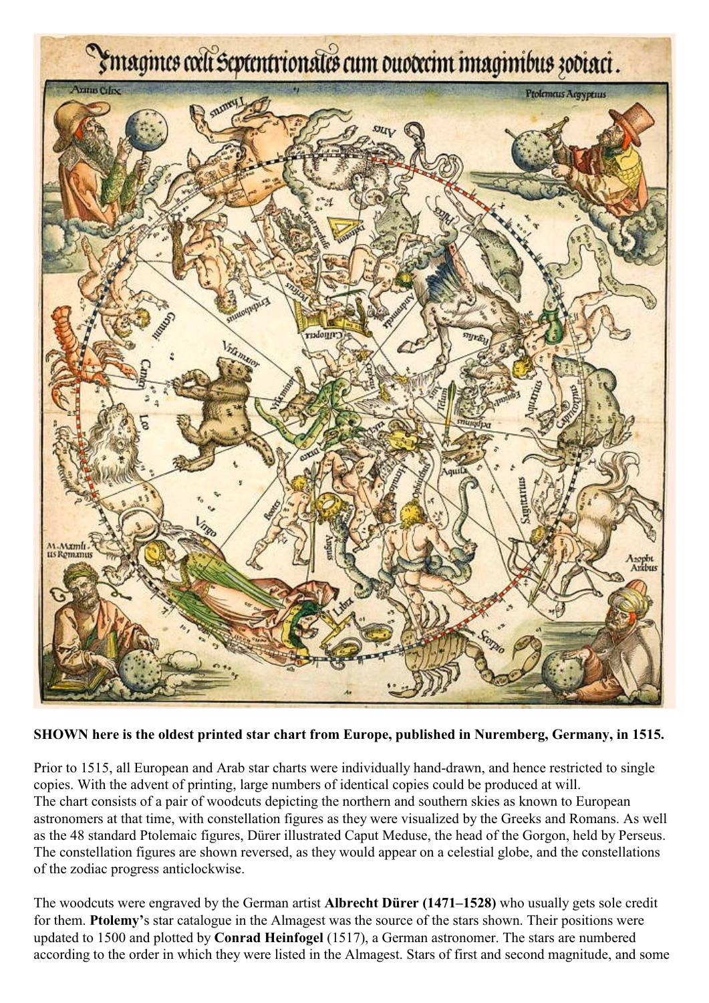

## **SHOWN here is the oldest printed star chart from Europe, published in Nuremberg, Germany, in 1515.**

Prior to 1515, all European and Arab star charts were individually hand-drawn, and hence restricted to single copies. With the advent of printing, large numbers of identical copies could be produced at will. The chart consists of a pair of woodcuts depicting the northern and southern skies as known to European astronomers at that time, with constellation figures as they were visualized by the Greeks and Romans. As well as the 48 standard Ptolemaic figures, Dürer illustrated Caput Meduse, the head of the Gorgon, held by Perseus. The constellation figures are shown reversed, as they would appear on a celestial globe, and the constellations of the zodiac progress anticlockwise.

The woodcuts were engraved by the German artist **Albrecht Dürer (1471–1528)** who usually gets sole credit for them. **Ptolemy'**s star catalogue in the Almagest was the source of the stars shown. Their positions were updated to 1500 and plotted by **Conrad Heinfogel** (1517), a German astronomer. The stars are numbered according to the order in which they were listed in the Almagest. Stars of first and second magnitude, and some